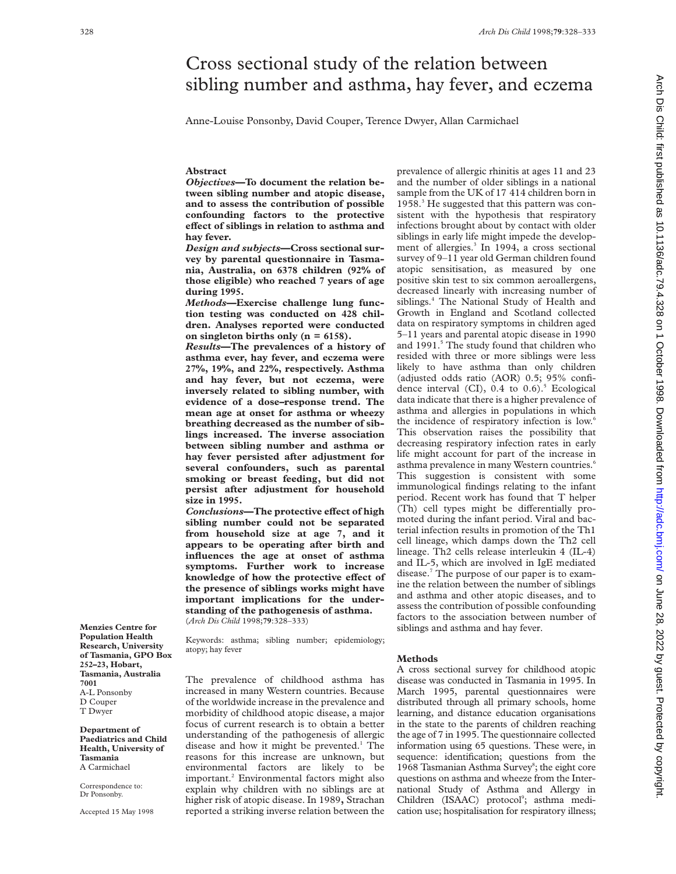# Cross sectional study of the relation between sibling number and asthma, hay fever, and eczema

Anne-Louise Ponsonby, David Couper, Terence Dwyer, Allan Carmichael

# **Abstract**

*Objectives***—To document the relation between sibling number and atopic disease, and to assess the contribution of possible confounding factors to the protective eVect of siblings in relation to asthma and hay fever.**

*Design and subjects***—Cross sectional survey by parental questionnaire in Tasmania, Australia, on 6378 children (92% of those eligible) who reached 7 years of age during 1995.**

*Methods***—Exercise challenge lung function testing was conducted on 428 children. Analyses reported were conducted on singleton births only (n = 6158).**

*Results***—The prevalences of a history of asthma ever, hay fever, and eczema were 27%, 19%, and 22%, respectively. Asthma and hay fever, but not eczema, were inversely related to sibling number, with evidence of a dose–response trend. The mean age at onset for asthma or wheezy breathing decreased as the number of siblings increased. The inverse association between sibling number and asthma or hay fever persisted after adjustment for several confounders, such as parental smoking or breast feeding, but did not persist after adjustment for household size in 1995.**

*Conclusions***—The protective effect of high sibling number could not be separated from household size at age 7, and it appears to be operating after birth and influences the age at onset of asthma symptoms. Further work to increase** knowledge of how the protective effect of **the presence of siblings works might have important implications for the understanding of the pathogenesis of asthma.** (*Arch Dis Child* 1998;**79**:328–333)

Keywords: asthma; sibling number; epidemiology; atopy; hay fever

The prevalence of childhood asthma has increased in many Western countries. Because of the worldwide increase in the prevalence and morbidity of childhood atopic disease, a major focus of current research is to obtain a better understanding of the pathogenesis of allergic disease and how it might be prevented. $<sup>1</sup>$  The</sup> reasons for this increase are unknown, but environmental factors are likely to be important.2 Environmental factors might also explain why children with no siblings are at higher risk of atopic disease. In 1989**,** Strachan reported a striking inverse relation between the

prevalence of allergic rhinitis at ages 11 and 23 and the number of older siblings in a national sample from the UK of 17 414 children born in 1958.3 He suggested that this pattern was consistent with the hypothesis that respiratory infections brought about by contact with older siblings in early life might impede the development of allergies.<sup>3</sup> In 1994, a cross sectional survey of 9–11 year old German children found atopic sensitisation, as measured by one positive skin test to six common aeroallergens, decreased linearly with increasing number of siblings.4 The National Study of Health and Growth in England and Scotland collected data on respiratory symptoms in children aged 5–11 years and parental atopic disease in 1990 and 1991.<sup>5</sup> The study found that children who resided with three or more siblings were less likely to have asthma than only children (adjusted odds ratio (AOR) 0.5; 95% confidence interval (CI),  $0.4$  to  $0.6$ ).<sup>5</sup> Ecological data indicate that there is a higher prevalence of asthma and allergies in populations in which the incidence of respiratory infection is low.<sup>6</sup> This observation raises the possibility that decreasing respiratory infection rates in early life might account for part of the increase in asthma prevalence in many Western countries.<sup>6</sup> This suggestion is consistent with some immunological findings relating to the infant period. Recent work has found that T helper (Th) cell types might be differentially promoted during the infant period. Viral and bacterial infection results in promotion of the Th1 cell lineage, which damps down the Th2 cell lineage. Th2 cells release interleukin 4 (IL-4) and IL-5, which are involved in IgE mediated disease.7 The purpose of our paper is to examine the relation between the number of siblings and asthma and other atopic diseases, and to assess the contribution of possible confounding factors to the association between number of siblings and asthma and hay fever.

## **Methods**

A cross sectional survey for childhood atopic disease was conducted in Tasmania in 1995. In March 1995, parental questionnaires were distributed through all primary schools, home learning, and distance education organisations in the state to the parents of children reaching the age of 7 in 1995. The questionnaire collected information using 65 questions. These were, in sequence: identification; questions from the 1968 Tasmanian Asthma Survey<sup>8</sup>; the eight core questions on asthma and wheeze from the International Study of Asthma and Allergy in Children (ISAAC) protocol<sup>9</sup>; asthma medication use; hospitalisation for respiratory illness;

**Menzies Centre for Population Health Research, University of Tasmania, GPO Box 252–23, Hobart, Tasmania, Australia 7001** A-L Ponsonby D Couper T Dwyer

**Department of Paediatrics and Child Health, University of Tasmania** A Carmichael

Correspondence to: Dr Ponsonby.

Accepted 15 May 1998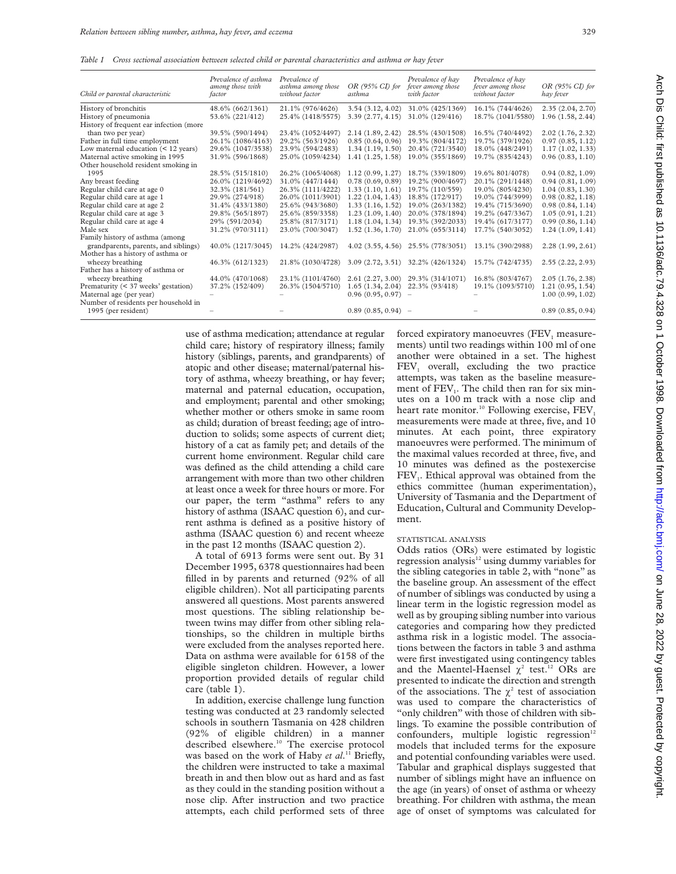*Table 1 Cross sectional association between selected child or parental characteristics and asthma or hay fever*

| Child or parental characteristic        | Prevalence of asthma<br>among those with<br>factor | Prevalence of<br>asthma among those<br>without factor | $OR$ (95% $CD$ for<br>asthma | Prevalence of hav<br>fever among those<br>with factor | Prevalence of hav<br>fever among those<br>without factor | $OR$ (95% $CI$ ) for<br>hay fever |
|-----------------------------------------|----------------------------------------------------|-------------------------------------------------------|------------------------------|-------------------------------------------------------|----------------------------------------------------------|-----------------------------------|
| History of bronchitis                   | 48.6% (662/1361)                                   | 21.1% (976/4626)                                      | 3.54(3.12, 4.02)             | 31.0% (425/1369)                                      | 16.1% (744/4626)                                         | 2.35(2.04, 2.70)                  |
| History of pneumonia                    | 53.6% (221/412)                                    | 25.4% (1418/5575)                                     | 3.39(2.77, 4.15)             | 31.0% (129/416)                                       | 18.7% (1041/5580)                                        | 1.96(1.58, 2.44)                  |
| History of frequent ear infection (more |                                                    |                                                       |                              |                                                       |                                                          |                                   |
| than two per year)                      | 39.5% (590/1494)                                   | 23.4% (1052/4497)                                     | 2.14(1.89, 2.42)             | 28.5% (430/1508)                                      | 16.5% (740/4492)                                         | 2.02(1.76, 2.32)                  |
| Father in full time employment          | 26.1% (1086/4163)                                  | 29.2% (563/1926)                                      | 0.85(0.64, 0.96)             | 19.3% (804/4172)                                      | 19.7% (379/1926)                                         | 0.97(0.85, 1.12)                  |
| Low maternal education (< 12 years)     | 29.6% (1047/3538)                                  | 23.9% (594/2483)                                      | 1.34(1.19, 1.50)             | 20.4% (721/3540)                                      | 18.0% (448/2491)                                         | 1.17(1.02, 1.33)                  |
| Maternal active smoking in 1995         | 31.9% (596/1868)                                   | 25.0% (1059/4234)                                     | 1.41(1.25, 1.58)             | 19.0% (355/1869)                                      | 19.7% (835/4243)                                         | 0.96(0.83, 1.10)                  |
| Other household resident smoking in     |                                                    |                                                       |                              |                                                       |                                                          |                                   |
| 1995                                    | 28.5% (515/1810)                                   | 26.2% (1065/4068)                                     | 1.12(0.99, 1.27)             | 18.7% (339/1809)                                      | 19.6% 801/4078)                                          | 0.94(0.82, 1.09)                  |
| Any breast feeding                      | 26.0% (1219/4692)                                  | 31.0% (447/1444)                                      | 0.78(0.69, 0.89)             | 19.2% (900/4697)                                      | 20.1% (291/1448)                                         | 0.94(0.81, 1.09)                  |
| Regular child care at age 0             | 32.3% (181/561)                                    | 26.3% (1111/4222)                                     | 1.33(1.10, 1.61)             | 19.7% (110/559)                                       | 19.0% (805/4230)                                         | 1.04(0.83, 1.30)                  |
| Regular child care at age 1             | 29.9% (274/918)                                    | 26.0% (1011/3901)                                     | 1.22(1.04, 1.43)             | 18.8% (172/917)                                       | 19.0% (744/3999)                                         | 0.98(0.82, 1.18)                  |
| Regular child care at age 2             | 31.4% (433/1380)                                   | 25.6% (943/3680)                                      | 1.33(1.16, 1.52)             | 19.0% (263/1382)                                      | 19.4% (715/3690)                                         | 0.98(0.84, 1.14)                  |
| Regular child care at age 3             | 29.8% (565/1897)                                   | 25.6% (859/3358)                                      | 1.23(1.09, 1.40)             | 20.0% (378/1894)                                      | 19.2% (647/3367)                                         | 1.05(0.91, 1.21)                  |
| Regular child care at age 4             | 29% (591/2034)                                     | 25.8% (817/3171)                                      | 1.18(1.04, 1.34)             | 19.3% (392/2033)                                      | 19.4% (617/3177)                                         | 0.99(0.86, 1.14)                  |
| Male sex                                | 31.2% (970/3111)                                   | 23.0% (700/3047)                                      | 1.52(1.36, 1.70)             | 21.0% (655/3114)                                      | 17.7% (540/3052)                                         | 1.24(1.09, 1.41)                  |
| Family history of asthma (among         |                                                    |                                                       |                              |                                                       |                                                          |                                   |
| grandparents, parents, and siblings)    | 40.0% (1217/3045)                                  | 14.2% (424/2987)                                      |                              | 4.02 (3.55, 4.56) 25.5% (778/3051)                    | 13.1% (390/2988)                                         | 2.28(1.99, 2.61)                  |
| Mother has a history of asthma or       |                                                    |                                                       |                              |                                                       |                                                          |                                   |
| wheezy breathing                        | 46.3% (612/1323)                                   | 21.8% (1030/4728)                                     | 3.09(2.72, 3.51)             | 32.2% (426/1324)                                      | 15.7% (742/4735)                                         | 2.55(2.22, 2.93)                  |
| Father has a history of asthma or       |                                                    |                                                       |                              |                                                       |                                                          |                                   |
| wheezy breathing                        | 44.0% (470/1068)                                   | 23.1% (1101/4760)                                     | 2.61(2.27, 3.00)             | 29.3% (314/1071)                                      | 16.8% (803/4767)                                         | 2.05(1.76, 2.38)                  |
| Prematurity (< 37 weeks' gestation)     | 37.2% (152/409)                                    | 26.3% (1504/5710)                                     | 1.65(1.34, 2.04)             | 22.3% (93/418)                                        | 19.1% (1093/5710)                                        | 1.21(0.95, 1.54)                  |
| Maternal age (per year)                 |                                                    |                                                       | $0.96(0.95, 0.97)$ -         |                                                       |                                                          | 1.00(0.99, 1.02)                  |
| Number of residents per household in    |                                                    |                                                       |                              |                                                       |                                                          |                                   |
| 1995 (per resident)                     |                                                    |                                                       | $0.89(0.85, 0.94)$ -         |                                                       |                                                          | 0.89(0.85, 0.94)                  |
|                                         |                                                    |                                                       |                              |                                                       |                                                          |                                   |

use of asthma medication; attendance at regular child care; history of respiratory illness; family history (siblings, parents, and grandparents) of atopic and other disease; maternal/paternal history of asthma, wheezy breathing, or hay fever; maternal and paternal education, occupation, and employment; parental and other smoking; whether mother or others smoke in same room as child; duration of breast feeding; age of introduction to solids; some aspects of current diet; history of a cat as family pet; and details of the current home environment. Regular child care was defined as the child attending a child care arrangement with more than two other children at least once a week for three hours or more. For our paper, the term "asthma" refers to any history of asthma (ISAAC question 6), and current asthma is defined as a positive history of asthma (ISAAC question 6) and recent wheeze in the past 12 months (ISAAC question 2).

A total of 6913 forms were sent out. By 31 December 1995, 6378 questionnaires had been filled in by parents and returned (92% of all eligible children). Not all participating parents answered all questions. Most parents answered most questions. The sibling relationship between twins may differ from other sibling relationships, so the children in multiple births were excluded from the analyses reported here. Data on asthma were available for 6158 of the eligible singleton children. However, a lower proportion provided details of regular child care (table 1).

In addition, exercise challenge lung function testing was conducted at 23 randomly selected schools in southern Tasmania on 428 children (92% of eligible children) in a manner described elsewhere.<sup>10</sup> The exercise protocol was based on the work of Haby *et al*. <sup>11</sup> Briefly, the children were instructed to take a maximal breath in and then blow out as hard and as fast as they could in the standing position without a nose clip. After instruction and two practice attempts, each child performed sets of three forced expiratory manoeuvres (FEV<sub>1</sub> measurements) until two readings within 100 ml of one another were obtained in a set. The highest FEV<sub>1</sub> overall, excluding the two practice attempts, was taken as the baseline measurement of FEV<sub>1</sub>. The child then ran for six minutes on a 100 m track with a nose clip and heart rate monitor.<sup>10</sup> Following exercise,  $FEV<sub>1</sub>$ measurements were made at three, five, and 10 minutes. At each point, three expiratory manoeuvres were performed. The minimum of the maximal values recorded at three, five, and 10 minutes was defined as the postexercise FEV<sub>1</sub>. Ethical approval was obtained from the ethics committee (human experimentation), University of Tasmania and the Department of Education, Cultural and Community Development.

## STATISTICAL ANALYSIS

Odds ratios (ORs) were estimated by logistic regression analysis $12$  using dummy variables for the sibling categories in table 2, with "none" as the baseline group. An assessment of the effect of number of siblings was conducted by using a linear term in the logistic regression model as well as by grouping sibling number into various categories and comparing how they predicted asthma risk in a logistic model. The associations between the factors in table 3 and asthma were first investigated using contingency tables and the Maentel-Haensel  $\chi^2$  test.<sup>12</sup> ORs are presented to indicate the direction and strength of the associations. The  $\chi^2$  test of association was used to compare the characteristics of "only children" with those of children with siblings. To examine the possible contribution of confounders, multiple logistic regression<sup>12</sup> models that included terms for the exposure and potential confounding variables were used. Tabular and graphical displays suggested that number of siblings might have an influence on the age (in years) of onset of asthma or wheezy breathing. For children with asthma, the mean age of onset of symptoms was calculated for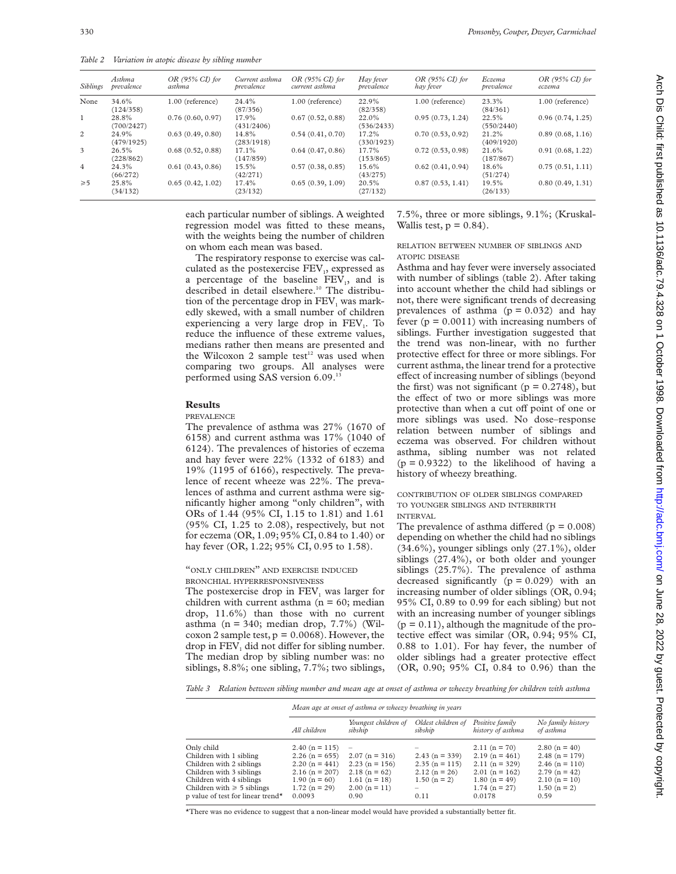*Table 2 Variation in atopic disease by sibling number*

| <b>Siblings</b> | Asthma<br>prevalence | $OR$ (95% $CI$ ) for<br>asthma | Current asthma<br>prevalence | $OR$ (95% $CI$ ) for<br>current asthma | Hay fever<br>prevalence | $OR$ (95% $CI$ ) for<br>hay fever | Eczema<br>prevalence | $OR$ (95% $CI$ ) for<br>есгета |
|-----------------|----------------------|--------------------------------|------------------------------|----------------------------------------|-------------------------|-----------------------------------|----------------------|--------------------------------|
| None            | 34.6%<br>(124/358)   | 1.00 (reference)               | 24.4%<br>(87/356)            | 1.00 (reference)                       | 22.9%<br>(82/358)       | 1.00 (reference)                  | 23.3%<br>(84/361)    | 1.00 (reference)               |
| $\mathbf{1}$    | 28.8%<br>(700/2427)  | 0.76(0.60, 0.97)               | 17.9%<br>(431/2406)          | 0.67(0.52, 0.88)                       | 22.0%<br>(536/2433)     | 0.95(0.73, 1.24)                  | 22.5%<br>(550/2440)  | 0.96(0.74, 1.25)               |
| $\overline{c}$  | 24.9%<br>(479/1925)  | 0.63(0.49, 0.80)               | 14.8%<br>(283/1918)          | 0.54(0.41, 0.70)                       | 17.2%<br>(330/1923)     | 0.70(0.53, 0.92)                  | 21.2%<br>(409/1920)  | 0.89(0.68, 1.16)               |
| $\overline{3}$  | 26.5%<br>(228/862)   | 0.68(0.52, 0.88)               | 17.1%<br>(147/859)           | 0.64(0.47, 0.86)                       | 17.7%<br>(153/865)      | 0.72(0.53, 0.98)                  | 21.6%<br>(187/867)   | 0.91(0.68, 1.22)               |
| $\overline{4}$  | 24.3%<br>(66/272)    | 0.61(0.43, 0.86)               | 15.5%<br>(42/271)            | 0.57(0.38, 0.85)                       | 15.6%<br>(43/275)       | 0.62(0.41, 0.94)                  | 18.6%<br>(51/274)    | 0.75(0.51, 1.11)               |
| $\geqslant 5$   | 25.8%<br>(34/132)    | 0.65(0.42, 1.02)               | 17.4%<br>(23/132)            | 0.65(0.39, 1.09)                       | 20.5%<br>(27/132)       | 0.87(0.53, 1.41)                  | 19.5%<br>(26/133)    | 0.80(0.49, 1.31)               |

each particular number of siblings. A weighted regression model was fitted to these means, with the weights being the number of children on whom each mean was based.

7.5%, three or more siblings, 9.1%; (Kruskal-Wallis test,  $p = 0.84$ .

The respiratory response to exercise was calculated as the postexercise  $FEV<sub>1</sub>$ , expressed as a percentage of the baseline  $FEV<sub>1</sub>$ , and is described in detail elsewhere.<sup>10</sup> The distribution of the percentage drop in  $FEV<sub>1</sub>$  was markedly skewed, with a small number of children experiencing a very large drop in  $FEV<sub>1</sub>$ . To reduce the influence of these extreme values, medians rather then means are presented and the Wilcoxon 2 sample test<sup>12</sup> was used when comparing two groups. All analyses were performed using SAS version 6.09.<sup>13</sup>

# **Results**

## PREVALENCE

The prevalence of asthma was 27% (1670 of 6158) and current asthma was 17% (1040 of 6124). The prevalences of histories of eczema and hay fever were 22% (1332 of 6183) and 19% (1195 of 6166), respectively. The prevalence of recent wheeze was 22%. The prevalences of asthma and current asthma were significantly higher among "only children", with ORs of 1.44 (95% CI, 1.15 to 1.81) and 1.61 (95% CI, 1.25 to 2.08), respectively, but not for eczema (OR, 1.09; 95% CI, 0.84 to 1.40) or hay fever (OR, 1.22; 95% CI, 0.95 to 1.58).

# "ONLY CHILDREN" AND EXERCISE INDUCED BRONCHIAL HYPERRESPONSIVENESS

The postexercise drop in FEV, was larger for children with current asthma ( $n = 60$ ; median drop, 11.6%) than those with no current asthma ( $n = 340$ ; median drop, 7.7%) (Wilcoxon 2 sample test,  $p = 0.0068$ ). However, the drop in  $FEV<sub>1</sub>$  did not differ for sibling number. The median drop by sibling number was: no siblings, 8.8%; one sibling, 7.7%; two siblings, RELATION BETWEEN NUMBER OF SIBLINGS AND

ATOPIC DISEASE

Asthma and hay fever were inversely associated with number of siblings (table 2). After taking into account whether the child had siblings or not, there were significant trends of decreasing prevalences of asthma  $(p = 0.032)$  and hay fever  $(p = 0.0011)$  with increasing numbers of siblings. Further investigation suggested that the trend was non-linear, with no further protective effect for three or more siblings. For current asthma, the linear trend for a protective effect of increasing number of siblings (beyond the first) was not significant ( $p = 0.2748$ ), but the effect of two or more siblings was more protective than when a cut off point of one or more siblings was used. No dose–response relation between number of siblings and eczema was observed. For children without asthma, sibling number was not related  $(p = 0.9322)$  to the likelihood of having a history of wheezy breathing.

## CONTRIBUTION OF OLDER SIBLINGS COMPARED TO YOUNGER SIBLINGS AND INTERBIRTH INTERVAL

The prevalence of asthma differed ( $p = 0.008$ ) depending on whether the child had no siblings  $(34.6\%)$ , younger siblings only  $(27.1\%)$ , older siblings (27.4%), or both older and younger siblings (25.7%). The prevalence of asthma decreased significantly  $(p = 0.029)$  with an increasing number of older siblings (OR, 0.94; 95% CI, 0.89 to 0.99 for each sibling) but not with an increasing number of younger siblings  $(p = 0.11)$ , although the magnitude of the protective effect was similar (OR,  $0.94$ ;  $95\%$  CI, 0.88 to 1.01). For hay fever, the number of older siblings had a greater protective effect (OR, 0.90; 95% CI, 0.84 to 0.96) than the

*Table 3 Relation between sibling number and mean age at onset of asthma or wheezy breathing for children with asthma*

|                                               |                    | Mean age at onset of asthma or wheezy breathing in years |                               |                                      |                                |  |
|-----------------------------------------------|--------------------|----------------------------------------------------------|-------------------------------|--------------------------------------|--------------------------------|--|
|                                               | All children       | Youngest children of<br>sibship                          | Oldest children of<br>sibship | Positive family<br>history of asthma | No family history<br>of asthma |  |
| Only child                                    | $2.40$ (n = 115)   | $\overline{\phantom{a}}$                                 |                               | $2.11(n = 70)$                       | 2.80 ( $n = 40$ )              |  |
| Children with 1 sibling                       | $2.26$ (n = 655)   | $2.07(n = 316)$                                          | $2.43$ (n = 339)              | $2.19(n = 461)$                      | 2.48 ( $n = 179$ )             |  |
| Children with 2 siblings                      | 2.20 ( $n = 441$ ) | $2.23(n = 156)$                                          | $2.35$ (n = 115)              | $2.11(n = 329)$                      | $2.46$ (n = 110)               |  |
| Children with 3 siblings                      | $2.16$ (n = 207)   | $2.18(n = 62)$                                           | $2.12(n = 26)$                | $2.01$ (n = 162)                     | $2.79$ (n = 42)                |  |
| Children with 4 siblings                      | $1.90(n = 60)$     | $1.61(n = 18)$                                           | $1.50(n = 2)$                 | $1.80(n = 49)$                       | $2.10(n = 10)$                 |  |
| Children with $\geq 5$ siblings               | $1.72(n = 29)$     | $2.00(n = 11)$                                           | -                             | $1.74$ (n = 27)                      | $1.50(n = 2)$                  |  |
| p value of test for linear trend <sup>*</sup> | 0.0093             | 0.90                                                     | 0.11                          | 0.0178                               | 0.59                           |  |

\*There was no evidence to suggest that a non-linear model would have provided a substantially better fit.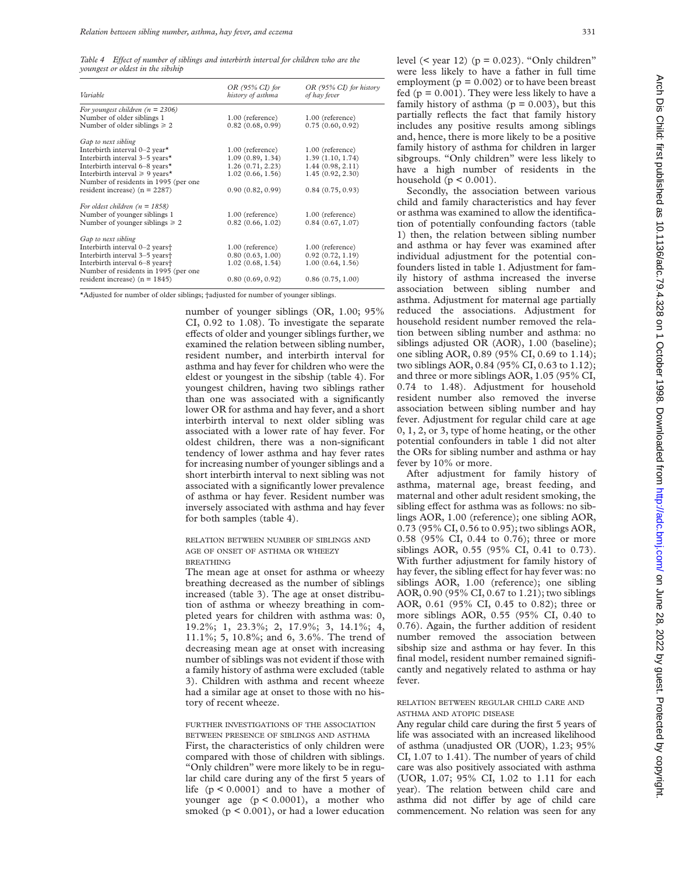Table 4 Effect of number of siblings and interbirth interval for children who are the *youngest or oldest in the sibship*

| Variable                                   | $OR$ (95% CI) for<br>history of asthma | $OR$ (95% CI) for history<br>of hay fever |
|--------------------------------------------|----------------------------------------|-------------------------------------------|
| For youngest children ( $n = 2306$ )       |                                        |                                           |
| Number of older siblings 1                 | 1.00 (reference)                       | $1.00$ (reference)                        |
| Number of older siblings $\geq 2$          | 0.82(0.68, 0.99)                       | 0.75(0.60, 0.92)                          |
| Gap to next sibling                        |                                        |                                           |
| Interbirth interval 0-2 year*              | 1.00 (reference)                       | 1.00 (reference)                          |
| Interbirth interval 3-5 years*             | 1.09(0.89, 1.34)                       | 1.39(1.10, 1.74)                          |
| Interbirth interval 6-8 years*             | 1.26(0.71, 2.23)                       | 1.44(0.98, 2.11)                          |
| Interbirth interval $\geq 9$ years*        | 1.02(0.66, 1.56)                       | 1.45(0.92, 2.30)                          |
| Number of residents in 1995 (per one       |                                        |                                           |
| resident increase) ( $n = 2287$ )          | 0.90(0.82, 0.99)                       | 0.84(0.75, 0.93)                          |
| For oldest children ( $n = 1858$ )         |                                        |                                           |
| Number of younger siblings 1               | 1.00 (reference)                       | 1.00 (reference)                          |
| Number of younger siblings $\geq 2$        | 0.82(0.66, 1.02)                       | 0.84(0.67, 1.07)                          |
| Gap to next sibling                        |                                        |                                           |
| Interbirth interval 0-2 years <sup>+</sup> | 1.00 (reference)                       | 1.00 (reference)                          |
| Interbirth interval 3-5 years <sup>+</sup> | 0.80(0.63, 1.00)                       | 0.92(0.72, 1.19)                          |
| Interbirth interval 6-8 years <sup>+</sup> | 1.02(0.68, 1.54)                       | 1.00(0.64, 1.56)                          |
| Number of residents in 1995 (per one       |                                        |                                           |
| resident increase) ( $n = 1845$ )          | 0.80(0.69, 0.92)                       | 0.86(0.75, 1.00)                          |

\*Adjusted for number of older siblings; †adjusted for number of younger siblings.

number of younger siblings (OR, 1.00; 95% CI, 0.92 to 1.08). To investigate the separate effects of older and younger siblings further, we examined the relation between sibling number, resident number, and interbirth interval for asthma and hay fever for children who were the eldest or youngest in the sibship (table 4). For youngest children, having two siblings rather than one was associated with a significantly lower OR for asthma and hay fever, and a short interbirth interval to next older sibling was associated with a lower rate of hay fever. For oldest children, there was a non-significant tendency of lower asthma and hay fever rates for increasing number of younger siblings and a short interbirth interval to next sibling was not associated with a significantly lower prevalence of asthma or hay fever. Resident number was inversely associated with asthma and hay fever for both samples (table 4).

## RELATION BETWEEN NUMBER OF SIBLINGS AND AGE OF ONSET OF ASTHMA OR WHEEZY BREATHING

The mean age at onset for asthma or wheezy breathing decreased as the number of siblings increased (table 3). The age at onset distribution of asthma or wheezy breathing in completed years for children with asthma was: 0, 19.2%; 1, 23.3%; 2, 17.9%; 3, 14.1%; 4, 11.1%; 5, 10.8%; and 6, 3.6%. The trend of decreasing mean age at onset with increasing number of siblings was not evident if those with a family history of asthma were excluded (table 3). Children with asthma and recent wheeze had a similar age at onset to those with no history of recent wheeze.

#### FURTHER INVESTIGATIONS OF THE ASSOCIATION BETWEEN PRESENCE OF SIBLINGS AND ASTHMA

First, the characteristics of only children were compared with those of children with siblings. "Only children" were more likely to be in regular child care during any of the first 5 years of life  $(p < 0.0001)$  and to have a mother of younger age (p < 0.0001), a mother who smoked  $(p < 0.001)$ , or had a lower education

level  $($  year 12 $)$   $(p = 0.023)$ . "Only children" were less likely to have a father in full time employment ( $p = 0.002$ ) or to have been breast fed ( $p = 0.001$ ). They were less likely to have a family history of asthma  $(p = 0.003)$ , but this partially reflects the fact that family history includes any positive results among siblings and, hence, there is more likely to be a positive family history of asthma for children in larger sibgroups. "Only children" were less likely to have a high number of residents in the household ( $p < 0.001$ ).

Secondly, the association between various child and family characteristics and hay fever or asthma was examined to allow the identification of potentially confounding factors (table 1) then, the relation between sibling number and asthma or hay fever was examined after individual adjustment for the potential confounders listed in table 1. Adjustment for family history of asthma increased the inverse association between sibling number and asthma. Adjustment for maternal age partially reduced the associations. Adjustment for household resident number removed the relation between sibling number and asthma: no siblings adjusted OR (AOR), 1.00 (baseline); one sibling AOR, 0.89 (95% CI, 0.69 to 1.14); two siblings AOR, 0.84 (95% CI, 0.63 to 1.12); and three or more siblings AOR, 1.05 (95% CI, 0.74 to 1.48). Adjustment for household resident number also removed the inverse association between sibling number and hay fever. Adjustment for regular child care at age 0, 1, 2, or 3, type of home heating, or the other potential confounders in table 1 did not alter the ORs for sibling number and asthma or hay fever by 10% or more.

After adjustment for family history of asthma, maternal age, breast feeding, and maternal and other adult resident smoking, the sibling effect for asthma was as follows: no siblings AOR, 1.00 (reference); one sibling AOR, 0.73 (95% CI, 0.56 to 0.95); two siblings AOR, 0.58 (95% CI, 0.44 to 0.76); three or more siblings AOR, 0.55 (95% CI, 0.41 to 0.73). With further adjustment for family history of hay fever, the sibling effect for hay fever was: no siblings AOR, 1.00 (reference); one sibling AOR, 0.90 (95% CI, 0.67 to 1.21); two siblings AOR, 0.61 (95% CI, 0.45 to 0.82); three or more siblings AOR, 0.55 (95% CI, 0.40 to 0.76). Again, the further addition of resident number removed the association between sibship size and asthma or hay fever. In this final model, resident number remained significantly and negatively related to asthma or hay fever.

# RELATION BETWEEN REGULAR CHILD CARE AND ASTHMA AND ATOPIC DISEASE

Any regular child care during the first 5 years of life was associated with an increased likelihood of asthma (unadjusted OR (UOR), 1.23; 95% CI, 1.07 to 1.41). The number of years of child care was also positively associated with asthma (UOR, 1.07; 95% CI, 1.02 to 1.11 for each year). The relation between child care and asthma did not differ by age of child care commencement. No relation was seen for any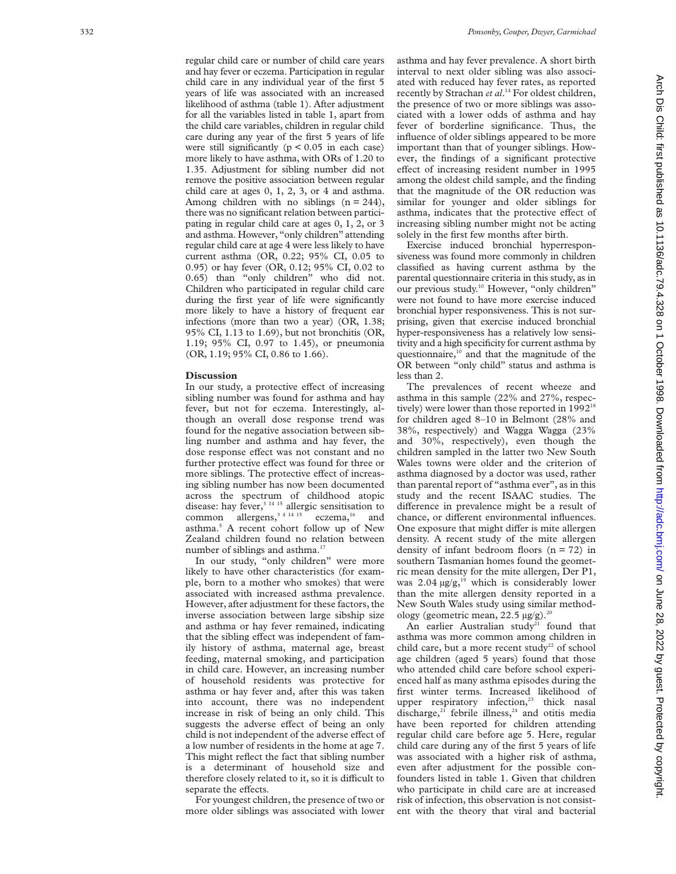regular child care or number of child care years and hay fever or eczema. Participation in regular child care in any individual year of the first 5 years of life was associated with an increased likelihood of asthma (table 1). After adjustment for all the variables listed in table 1, apart from the child care variables, children in regular child care during any year of the first 5 years of life were still significantly ( $p < 0.05$  in each case) more likely to have asthma, with ORs of 1.20 to 1.35. Adjustment for sibling number did not remove the positive association between regular child care at ages 0, 1, 2, 3, or 4 and asthma. Among children with no siblings  $(n = 244)$ , there was no significant relation between participating in regular child care at ages 0, 1, 2, or 3 and asthma. However, "only children" attending regular child care at age 4 were less likely to have current asthma (OR, 0.22; 95% CI, 0.05 to 0.95) or hay fever (OR, 0.12; 95% CI, 0.02 to 0.65) than "only children" who did not. Children who participated in regular child care during the first year of life were significantly more likely to have a history of frequent ear infections (more than two a year) (OR, 1.38; 95% CI, 1.13 to 1.69), but not bronchitis (OR, 1.19; 95% CI, 0.97 to 1.45), or pneumonia (OR, 1.19; 95% CI, 0.86 to 1.66).

## **Discussion**

In our study, a protective effect of increasing sibling number was found for asthma and hay fever, but not for eczema. Interestingly, although an overall dose response trend was found for the negative association between sibling number and asthma and hay fever, the dose response effect was not constant and no further protective effect was found for three or more siblings. The protective effect of increasing sibling number has now been documented across the spectrum of childhood atopic disease: hay fever, $3^{14}$  15 allergic sensitisation to common allergens,  $3^{4}$  14 15 eczema,  $16$  and asthma. <sup>5</sup> A recent cohort follow up of New Zealand children found no relation between number of siblings and asthma.<sup>17</sup>

In our study, "only children" were more likely to have other characteristics (for example, born to a mother who smokes) that were associated with increased asthma prevalence. However, after adjustment for these factors, the inverse association between large sibship size and asthma or hay fever remained, indicating that the sibling effect was independent of family history of asthma, maternal age, breast feeding, maternal smoking, and participation in child care. However, an increasing number of household residents was protective for asthma or hay fever and, after this was taken into account, there was no independent increase in risk of being an only child. This suggests the adverse effect of being an only child is not independent of the adverse effect of a low number of residents in the home at age 7. This might reflect the fact that sibling number is a determinant of household size and therefore closely related to it, so it is difficult to separate the effects.

For youngest children, the presence of two or more older siblings was associated with lower asthma and hay fever prevalence. A short birth interval to next older sibling was also associated with reduced hay fever rates, as reported recently by Strachan *et al* . <sup>14</sup> For oldest children, the presence of two or more siblings was associated with a lower odds of asthma and hay fever of borderline significance. Thus, the influence of older siblings appeared to be more important than that of younger siblings. However, the findings of a significant protective effect of increasing resident number in 1995 among the oldest child sample, and the finding that the magnitude of the OR reduction was similar for younger and older siblings for asthma, indicates that the protective effect of increasing sibling number might not be acting solely in the first few months after birth.

Exercise induced bronchial hyperresponsiveness was found more commonly in children classified as having current asthma by the parental questionnaire criteria in this study, as in our previous study.<sup>10</sup> However, "only children" were not found to have more exercise induced bronchial hyper responsiveness. This is not surprising, given that exercise induced bronchial hyper-responsiveness has a relatively low sensitivity and a high specificity for current asthma by questionnaire,<sup>10</sup> and that the magnitude of the OR between "only child" status and asthma is less than 2.

The prevalences of recent wheeze and asthma in this sample (22% and 27%, respectively) were lower than those reported in 1992<sup>18</sup> for children aged 8–10 in Belmont (28% and 38%, respectively) and Wagga Wagga (23% and 30%, respectively), even though the children sampled in the latter two New South Wales towns were older and the criterion of asthma diagnosed by a doctor was used, rather than parental report of "asthma ever", as in this study and the recent ISAAC studies. The difference in prevalence might be a result of chance, or different environmental influences. One exposure that might differ is mite allergen density. A recent study of the mite allergen density of infant bedroom floors  $(n = 72)$  in southern Tasmanian homes found the geometric mean density for the mite allergen, Der P1, was  $2.04 \mu g/g$ ,<sup>19</sup> which is considerably lower than the mite allergen density reported in a New South Wales study using similar methodology (geometric mean, 22.5  $\mu$ g/g).<sup>20</sup>

An earlier Australian study<sup>21</sup> found that asthma was more common among children in child care, but a more recent study<sup>22</sup> of school age children (aged 5 years) found that those who attended child care before school experienced half as many asthma episodes during the first winter terms. Increased likelihood of upper respiratory infection, $23$  thick nasal discharge, $21$  febrile illness, $24$  and otitis media have been reported for children attending regular child care before age 5. Here, regular child care during any of the first 5 years of life was associated with a higher risk of asthma, even after adjustment for the possible confounders listed in table 1. Given that children who participate in child care are at increased risk of infection, this observation is not consistent with the theory that viral and bacterial